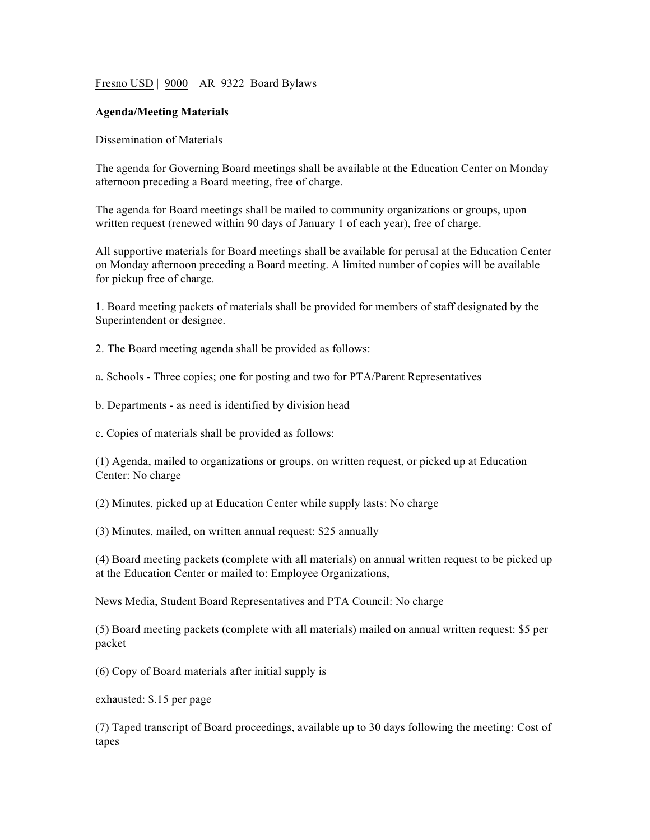Fresno USD | 9000 | AR 9322 Board Bylaws

## **Agenda/Meeting Materials**

Dissemination of Materials

The agenda for Governing Board meetings shall be available at the Education Center on Monday afternoon preceding a Board meeting, free of charge.

The agenda for Board meetings shall be mailed to community organizations or groups, upon written request (renewed within 90 days of January 1 of each year), free of charge.

All supportive materials for Board meetings shall be available for perusal at the Education Center on Monday afternoon preceding a Board meeting. A limited number of copies will be available for pickup free of charge.

1. Board meeting packets of materials shall be provided for members of staff designated by the Superintendent or designee.

2. The Board meeting agenda shall be provided as follows:

a. Schools - Three copies; one for posting and two for PTA/Parent Representatives

b. Departments - as need is identified by division head

c. Copies of materials shall be provided as follows:

(1) Agenda, mailed to organizations or groups, on written request, or picked up at Education Center: No charge

(2) Minutes, picked up at Education Center while supply lasts: No charge

(3) Minutes, mailed, on written annual request: \$25 annually

(4) Board meeting packets (complete with all materials) on annual written request to be picked up at the Education Center or mailed to: Employee Organizations,

News Media, Student Board Representatives and PTA Council: No charge

(5) Board meeting packets (complete with all materials) mailed on annual written request: \$5 per packet

(6) Copy of Board materials after initial supply is

exhausted: \$.15 per page

(7) Taped transcript of Board proceedings, available up to 30 days following the meeting: Cost of tapes